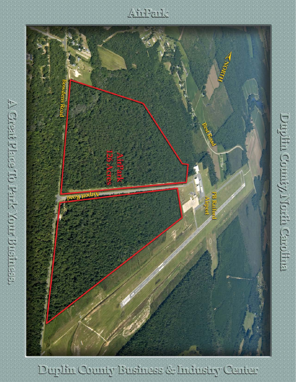$4572012$ 



detering the control of the presence of

Duplin County Business & Industry Center